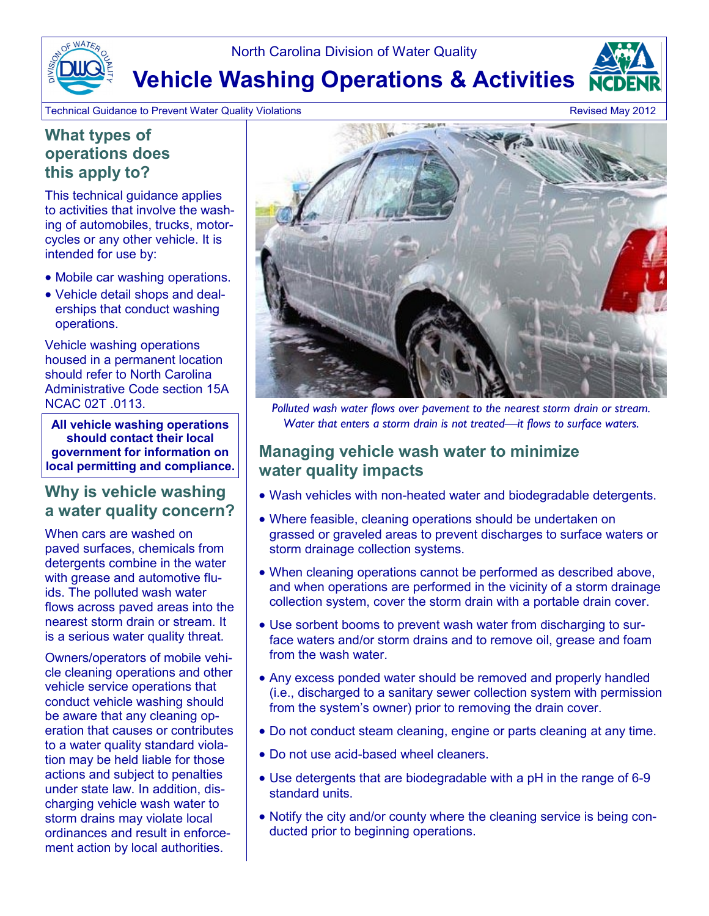North Carolina Division of Water Quality

**Vehicle Washing Operations & Activities**

Technical Guidance to Prevent Water Quality Violations **Revised May 2012 Revised May 2012** 

#### **What types of operations does this apply to?**

This technical guidance applies to activities that involve the washing of automobiles, trucks, motorcycles or any other vehicle. It is intended for use by:

- Mobile car washing operations.
- Vehicle detail shops and dealerships that conduct washing operations.

Vehicle washing operations housed in a permanent location should refer to North Carolina Administrative Code section 15A

**All vehicle washing operations should contact their local government for information on local permitting and compliance.** 

## **Why is vehicle washing a water quality concern?**

When cars are washed on paved surfaces, chemicals from detergents combine in the water with grease and automotive fluids. The polluted wash water flows across paved areas into the nearest storm drain or stream. It is a serious water quality threat.

Owners/operators of mobile vehicle cleaning operations and other vehicle service operations that conduct vehicle washing should be aware that any cleaning operation that causes or contributes to a water quality standard violation may be held liable for those actions and subject to penalties under state law. In addition, discharging vehicle wash water to storm drains may violate local ordinances and result in enforcement action by local authorities.



NCAC 02T .0113. *Polluted wash water flows over pavement to the nearest storm drain or stream. Water that enters a storm drain is not treated—it flows to surface waters.* 

## **Managing vehicle wash water to minimize water quality impacts**

- Wash vehicles with non-heated water and biodegradable detergents.
- Where feasible, cleaning operations should be undertaken on grassed or graveled areas to prevent discharges to surface waters or storm drainage collection systems.
- When cleaning operations cannot be performed as described above, and when operations are performed in the vicinity of a storm drainage collection system, cover the storm drain with a portable drain cover.
- Use sorbent booms to prevent wash water from discharging to surface waters and/or storm drains and to remove oil, grease and foam from the wash water.
- Any excess ponded water should be removed and properly handled (i.e., discharged to a sanitary sewer collection system with permission from the system's owner) prior to removing the drain cover.
- Do not conduct steam cleaning, engine or parts cleaning at any time.
- Do not use acid-based wheel cleaners.
- Use detergents that are biodegradable with a pH in the range of 6-9 standard units.
- Notify the city and/or county where the cleaning service is being conducted prior to beginning operations.